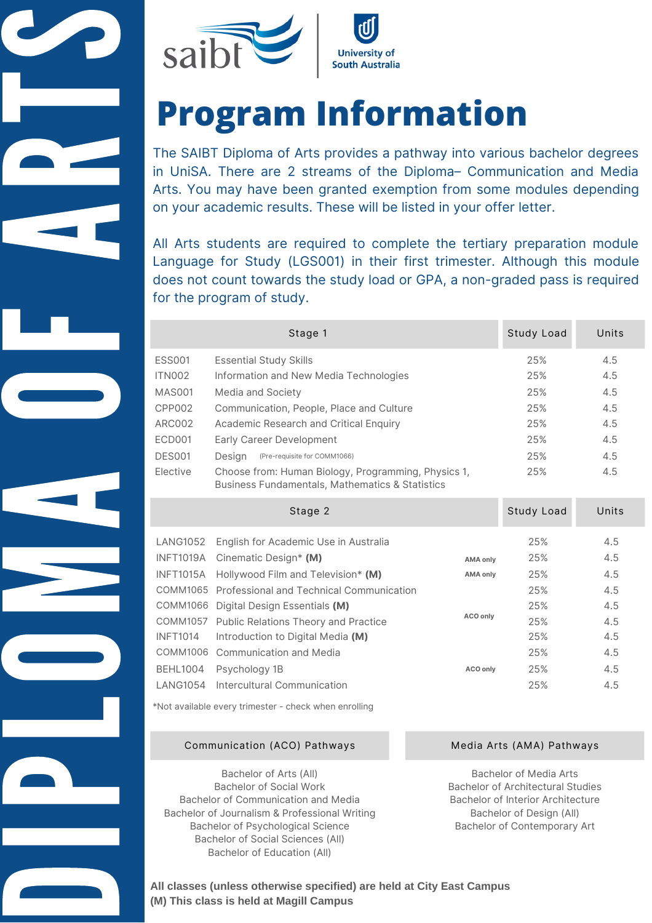

# **Program Information**

 Arts. You may have been granted exemption from some modules depending The SAIBT Diploma of Arts provides a pathway into various bachelor degrees in UniSA. There are 2 streams of the Diploma– Communication and Media on your academic results. These will be listed in your offer letter.

 Language for Study (LGS001) in their first trimester. Although this module All Arts students are required to complete the tertiary preparation module does not count towards the study load or GPA, a non-graded pass is required for the program of study.

|               | Stage 1                                                                                                           | Study Load | Units   |
|---------------|-------------------------------------------------------------------------------------------------------------------|------------|---------|
| <b>ESS001</b> | <b>Essential Study Skills</b>                                                                                     | 25%        | 4.5     |
| ITN002        | Information and New Media Technologies                                                                            | 25%        | 4.5     |
| MAS001        | Media and Society                                                                                                 | 25%        | 4.5     |
| CPP002        | Communication, People, Place and Culture                                                                          | 25%        | 4.5     |
| ARC002        | Academic Research and Critical Enquiry                                                                            | 25%        | 4.5     |
| ECD001        | Early Career Development                                                                                          | 25%        | 4.5     |
| DES001        | Desian<br>(Pre-requisite for COMM1066)                                                                            | 25%        | 4.5     |
| Elective      | Choose from: Human Biology, Programming, Physics 1,<br><b>Business Fundamentals, Mathematics &amp; Statistics</b> | 25%        | 4.5     |
|               | S <sub>tan</sub> 2                                                                                                | heo Lybut2 | l Inite |

|                 | Jiayt Z                                           |                 | <b>JIUUY LUQU</b> | UIILS |
|-----------------|---------------------------------------------------|-----------------|-------------------|-------|
| LANG1052        | English for Academic Use in Australia             |                 | 25%               | 4.5   |
|                 | INFT1019A Cinematic Design* (M)                   | <b>AMA only</b> | 25%               | 4.5   |
|                 | INFT1015A Hollywood Film and Television* (M)      | <b>AMA only</b> | 25%               | 4.5   |
|                 | COMM1065 Professional and Technical Communication |                 | 25%               | 4.5   |
|                 | COMM1066 Digital Design Essentials (M)            |                 | 25%               | 4.5   |
|                 | COMM1057 Public Relations Theory and Practice     | ACO only        | 25%               | 4.5   |
| <b>INFT1014</b> | Introduction to Digital Media (M)                 |                 | 25%               | 4.5   |
|                 | COMM1006 Communication and Media                  |                 | 25%               | 4.5   |
| <b>BEHL1004</b> | Psychology 1B                                     | ACO only        | 25%               | 4.5   |
| LANG1054        | Intercultural Communication                       |                 | 25%               | 4.5   |
|                 |                                                   |                 |                   |       |

\*Not available every trimester - check when enrolling

### Communication (ACO) Pathways Media Arts (AMA) Pathways

Bachelor of Arts (All) Bachelor of Social Work Bachelor of Communication and Media Bachelor of Journalism & Professional Writing Bachelor of Psychological Science Bachelor of Social Sciences (All) Bachelor of Education (All)

**District** 

I

**Particular** 

Listen of the Search<br>Listen of the Search

 $\qquad \qquad \bullet$ 

M

A

 $\qquad \qquad \qquad$ 

Frank of

A

**RE** 

**The Company** 

S

Bachelor of Media Arts Bachelor of Architectural Studies Bachelor of Interior Architecture Bachelor of Design (All) Bachelor of Contemporary Art

**All classes (unless otherwise specified) are held at City East Campus (M) This class is held at Magill Campus**